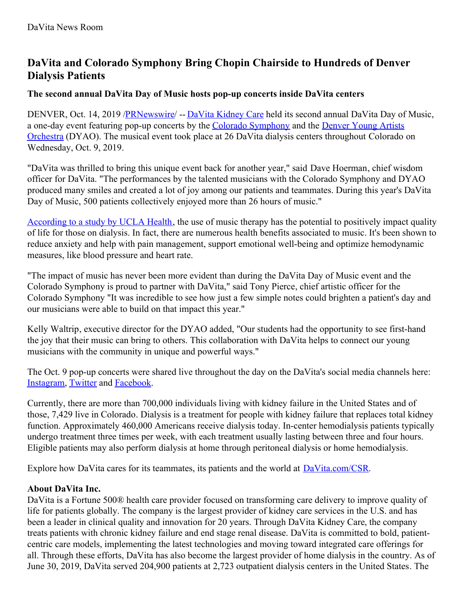# **DaVita and Colorado Symphony Bring Chopin Chairside to Hundreds of Denver Dialysis Patients**

## **The second annual DaVita Day of Music hosts pop-up concerts inside DaVita centers**

DENVER, Oct. 14, 2019 [/PRNewswire](http://www.prnewswire.com/)/ -- DaVita [Kidney](https://c212.net/c/link/?t=0&l=en&o=2609327-1&h=2789571176&u=https%3A%2F%2Fwww.davita.com%2F&a=DaVita+Kidney+Care) Care held its second annual DaVita Day of Music, a one-day event featuring pop-up concerts by the Colorado [Symphony](https://c212.net/c/link/?t=0&l=en&o=2609327-1&h=3671450926&u=https%3A%2F%2Fcoloradosymphony.org%2F&a=Colorado+Symphony) and the Denver Young Artists Orchestra (DYAO). The musical event took place at 26 DaVita dialysis centers [throughout](https://c212.net/c/link/?t=0&l=en&o=2609327-1&h=3696543407&u=http%3A%2F%2Fwww.dyao.org%2F&a=Denver+Young+Artists+Orchestra) Colorado on Wednesday, Oct. 9, 2019.

"DaVita was thrilled to bring this unique event back for another year," said Dave Hoerman, chief wisdom officer for DaVita. "The performances by the talented musicians with the Colorado Symphony and DYAO produced many smiles and created a lot of joy among our patients and teammates. During this year's DaVita Day of Music, 500 patients collectively enjoyed more than 26 hours of music."

[According](https://c212.net/c/link/?t=0&l=en&o=2609327-1&h=1583297772&u=https%3A%2F%2Fwww.uclahealth.org%2Fcore-kidney%2Fworkfiles%2FMusic%2520Therapy%2520and%2520Kidney%2520Disease%2520Raising%2520Awareness%2520and%2520Clinical%2520Applications.pdf&a=According+to+a+study+by+UCLA+Health) to a study by UCLA Health, the use of music therapy has the potential to positively impact quality of life for those on dialysis. In fact, there are numerous health benefits associated to music. It's been shown to reduce anxiety and help with pain management, support emotional well-being and optimize hemodynamic measures, like blood pressure and heart rate.

"The impact of music has never been more evident than during the DaVita Day of Music event and the Colorado Symphony is proud to partner with DaVita," said Tony Pierce, chief artistic officer for the Colorado Symphony "It was incredible to see how just a few simple notes could brighten a patient's day and our musicians were able to build on that impact this year."

Kelly Waltrip, executive director for the DYAO added, "Our students had the opportunity to see first-hand the joy that their music can bring to others. This collaboration with DaVita helps to connect our young musicians with the community in unique and powerful ways."

The Oct. 9 pop-up concerts were shared live throughout the day on the DaVita's social media channels here: [Instagram](https://c212.net/c/link/?t=0&l=en&o=2609327-1&h=1424294528&u=https%3A%2F%2Fwww.instagram.com%2Fp%2FB3cdtocAmnF%2F&a=Instagram), [Twitter](https://c212.net/c/link/?t=0&l=en&o=2609327-1&h=229087487&u=https%3A%2F%2Ftwitter.com%2FDaVita%2Fstatus%2F1181941359017693184&a=Twitter) and [Facebook](https://c212.net/c/link/?t=0&l=en&o=2609327-1&h=1762715491&u=https%3A%2F%2Fwww.facebook.com%2Fdavitakidneycare%2Fvideos%2F538044377005864%2F%3F__xts__%255b0%255d%3D68.ARCbwiWWn72W728AlFK6EOo07yXjHyn9qgplsbLnnpr1WqvBVfUla2UpFJBlYm3AGvzYuacShMBDYKWCQ9pFADXVgtx7_VUgfG0WOLPS-64OgP-0zIHWcMhNgvbirLa1DTPKHny6SffnqKmLGF_Z_047n3hkRqGkLiX6I2EgHTTPCebI3Q8T1nCFZ_Ta1fQKsTC6PjfjbX9fu_lvbWEQnnbkOv-UBvp6FAkjMTC1LxhzEdx2vJxR6_afmolLxzgpqU0ILJIXZtBRUU62Eya58QbNJmhtIZUVIXpZPCVmo8WkgZb4sPY13MJMQgrKWv6udx2a4GfA1hn7sFg0JK-3BYZ5%26__tn__%3D-R&a=Facebook).

Currently, there are more than 700,000 individuals living with kidney failure in the United States and of those, 7,429 live in Colorado. Dialysis is a treatment for people with kidney failure that replaces total kidney function. Approximately 460,000 Americans receive dialysis today. In-center hemodialysis patients typically undergo treatment three times per week, with each treatment usually lasting between three and four hours. Eligible patients may also perform dialysis at home through peritoneal dialysis or home hemodialysis.

Explore how DaVita cares for its teammates, its patients and the world at [DaVita.com/CSR](https://c212.net/c/link/?t=0&l=en&o=2609327-1&h=2606739235&u=http%3A%2F%2Fdavita.com%2FCSR&a=DaVita.com%2FCSR).

## **About DaVita Inc.**

DaVita is a Fortune 500® health care provider focused on transforming care delivery to improve quality of life for patients globally. The company is the largest provider of kidney care services in the U.S. and has been a leader in clinical quality and innovation for 20 years. Through DaVita Kidney Care, the company treats patients with chronic kidney failure and end stage renal disease. DaVita is committed to bold, patientcentric care models, implementing the latest technologies and moving toward integrated care offerings for all. Through these efforts, DaVita has also become the largest provider of home dialysis in the country. As of June 30, 2019, DaVita served 204,900 patients at 2,723 outpatient dialysis centers in the United States. The